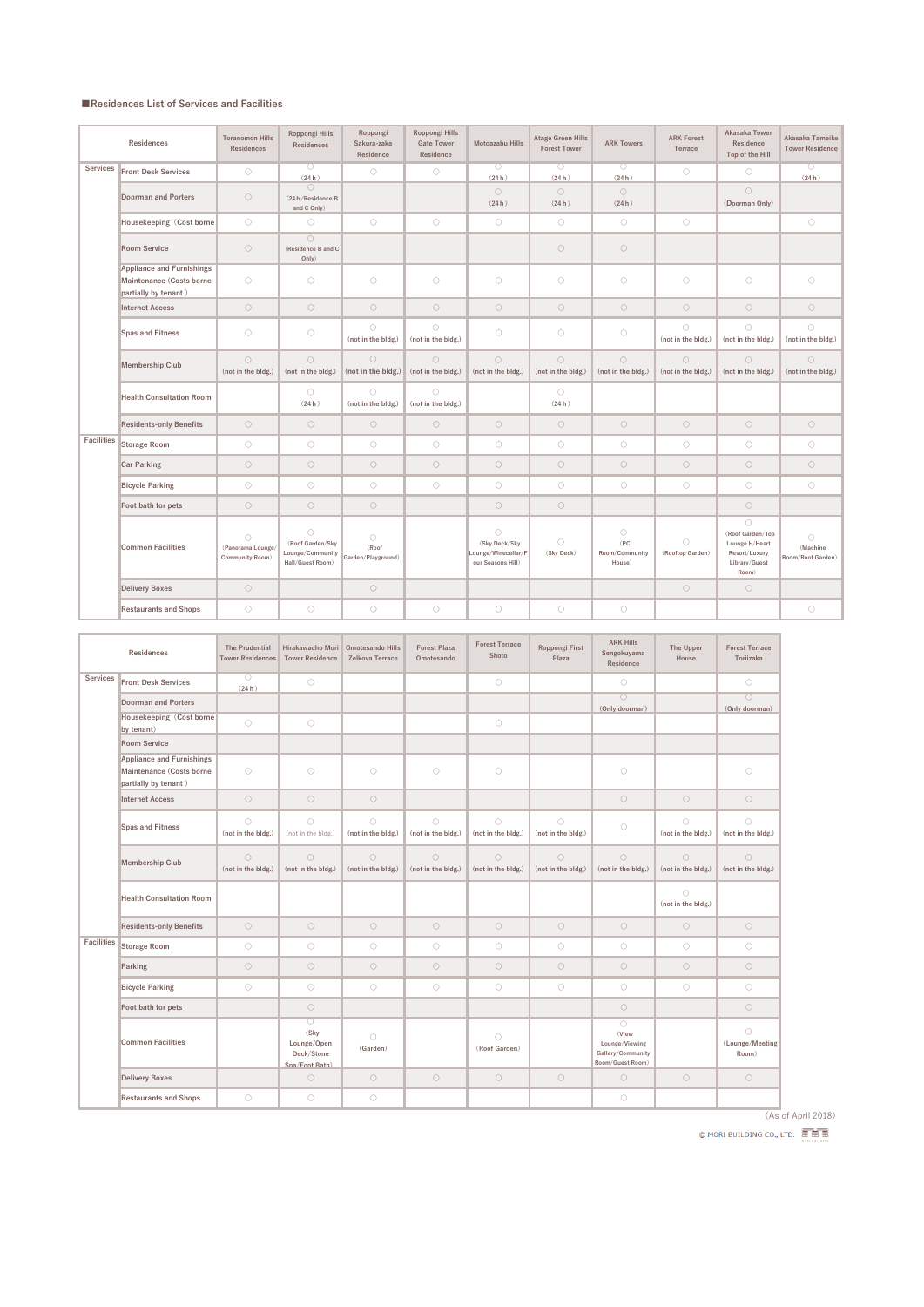## **■Residences List of Services and Facilities**

|                   | <b>Residences</b>                                                                    | <b>Toranomon Hills</b><br><b>Residences</b>               | <b>Roppongi Hills</b><br><b>Residences</b>                             | Roppongi<br>Sakura-zaka<br>Residence      | Roppongi Hills<br><b>Gate Tower</b><br>Residence | <b>Motoazabu Hills</b>                                                  | <b>Atago Green Hills</b><br><b>Forest Tower</b> | <b>ARK Towers</b>                              | <b>ARK Forest</b><br>Terrace     | <b>Akasaka Tower</b><br>Residence<br>Top of the Hill                                                 | Akasaka Tameike<br><b>Tower Residence</b>   |
|-------------------|--------------------------------------------------------------------------------------|-----------------------------------------------------------|------------------------------------------------------------------------|-------------------------------------------|--------------------------------------------------|-------------------------------------------------------------------------|-------------------------------------------------|------------------------------------------------|----------------------------------|------------------------------------------------------------------------------------------------------|---------------------------------------------|
| <b>Services</b>   | <b>Front Desk Services</b>                                                           | $\bigcirc$                                                | $\circ$<br>(24h)                                                       | $\bigcirc$                                | $\bigcirc$                                       | $\bigcirc$<br>(24h)                                                     | $\overline{\bigcirc}$<br>(24h)                  | $\bigcirc$<br>(24h)                            | $\bigcirc$                       | $\bigcirc$                                                                                           | $\overline{\bigcirc}$<br>(24h)              |
|                   | <b>Doorman and Porters</b>                                                           | $\bigcirc$                                                | $\bigcirc$<br>(24 h/Residence B<br>and C Only)                         |                                           |                                                  | $\bigcirc$<br>(24h)                                                     | $\bigcirc$<br>(24h)                             | $\bigcirc$<br>(24h)                            |                                  | $\bigcirc$<br>(Doorman Only)                                                                         |                                             |
|                   | Housekeeping (Cost borne                                                             | $\bigcirc$                                                | $\bigcirc$                                                             | $\bigcirc$                                | $\bigcirc$                                       | $\bigcirc$                                                              | $\bigcirc$                                      | $\bigcirc$                                     | $\bigcirc$                       |                                                                                                      | $\bigcirc$                                  |
|                   | <b>Room Service</b>                                                                  | $\bigcirc$                                                | $\bigcirc$<br>(Residence B and C<br>Only)                              |                                           |                                                  |                                                                         | $\bigcirc$                                      | $\bigcirc$                                     |                                  |                                                                                                      |                                             |
|                   | <b>Appliance and Furnishings</b><br>Maintenance (Costs borne<br>partially by tenant) | $\bigcirc$                                                | $\bigcirc$                                                             | $\bigcirc$                                | $\bigcirc$                                       | $\bigcirc$                                                              | $\bigcirc$                                      | $\bigcirc$                                     | $\bigcirc$                       | $\bigcirc$                                                                                           | $\bigcirc$                                  |
|                   | <b>Internet Access</b>                                                               | $\bigcirc$                                                | $\bigcirc$                                                             | $\circ$                                   | $\bigcirc$                                       | $\bigcirc$                                                              | $\bigcirc$                                      | $\bigcirc$                                     | $\bigcirc$                       | $\bigcirc$                                                                                           | $\bigcirc$                                  |
|                   | <b>Spas and Fitness</b>                                                              | $\bigcirc$                                                | $\bigcirc$                                                             | $\bigcirc$<br>(not in the bldg.)          | $\circlearrowright$<br>(not in the bldg.)        | $\bigcirc$                                                              | $\bigcirc$                                      | $\bigcirc$                                     | $\bigcirc$<br>(not in the bldg.) | $\bigcirc$<br>(not in the bldg.)                                                                     | $\bigcirc$<br>(not in the bldg.)            |
|                   | <b>Membership Club</b>                                                               | $\bigcirc$<br>(not in the bldg.)                          | $\bigcirc$<br>(not in the bldg.)                                       | $\circ$<br>(not in the bldg.)             | $\bigcirc$<br>(not in the bldg.)                 | $\bigcirc$<br>(not in the bldg.)                                        | $\bigcirc$<br>(not in the bldg.)                | $\bigcirc$<br>(not in the bldg.)               | $\bigcirc$<br>(not in the bldg.) | $\bigcirc$<br>(not in the bldg.)                                                                     | $\bigcirc$<br>(not in the bldg.)            |
|                   | <b>Health Consultation Room</b>                                                      |                                                           | $\bigcirc$<br>(24h)                                                    | $\bigcirc$<br>(not in the bldg.)          | $\circ$<br>(not in the bldg.)                    |                                                                         | $\bigcirc$<br>(24h)                             |                                                |                                  |                                                                                                      |                                             |
|                   | <b>Residents-only Benefits</b>                                                       | $\bigcirc$                                                | $\bigcirc$                                                             | $\bigcirc$                                | $\bigcirc$                                       | $\bigcirc$                                                              | $\bigcirc$                                      | $\bigcirc$                                     | $\bigcirc$                       | $\bigcirc$                                                                                           | $\bigcirc$                                  |
| <b>Facilities</b> | <b>Storage Room</b>                                                                  | $\bigcirc$                                                | $\bigcirc$                                                             | $\bigcirc$                                | $\bigcirc$                                       | $\bigcirc$                                                              | $\bigcirc$                                      | $\bigcirc$                                     | $\bigcirc$                       | $\bigcirc$                                                                                           | $\bigcirc$                                  |
|                   | <b>Car Parking</b>                                                                   | $\bigcirc$                                                | $\bigcirc$                                                             | $\bigcirc$                                | $\bigcirc$                                       | $\bigcirc$                                                              | $\bigcirc$                                      | $\bigcirc$                                     | $\bigcirc$                       | $\bigcirc$                                                                                           | $\bigcirc$                                  |
|                   | <b>Bicycle Parking</b>                                                               | $\bigcirc$                                                | $\bigcirc$                                                             | $\bigcirc$                                | $\bigcirc$                                       | $\bigcirc$                                                              | $\bigcirc$                                      | $\bigcirc$                                     | $\bigcirc$                       | $\bigcirc$                                                                                           | $\bigcirc$                                  |
|                   | Foot bath for pets                                                                   | $\bigcirc$                                                | $\bigcirc$                                                             | $\bigcirc$                                |                                                  | $\bigcirc$                                                              | $\bigcirc$                                      |                                                |                                  | $\bigcirc$                                                                                           |                                             |
|                   | <b>Common Facilities</b>                                                             | $\bigcirc$<br>(Panorama Lounge,<br><b>Community Room)</b> | $\bigcirc$<br>(Roof Garden/Sky<br>Lounge/Community<br>Hall/Guest Room) | $\bigcirc$<br>(Roof<br>Garden/Playground) |                                                  | $\bigcirc$<br>(Sky Deck/Sky<br>Lounge/Winecellar/F<br>our Seasons Hill) | $\bigcirc$<br>(Sky Deck)                        | $\bigcirc$<br>(PC)<br>Room/Community<br>House) | $\bigcirc$<br>(Rooftop Garden)   | $\bigcirc$<br>(Roof Garden/Top<br>Lounge <b>\</b> / Heart<br>Resort/Luxury<br>Library/Guest<br>Room) | $\bigcirc$<br>(Machine<br>Room/Roof Garden) |
|                   | <b>Delivery Boxes</b>                                                                | $\bigcirc$                                                |                                                                        | $\bigcirc$                                |                                                  |                                                                         |                                                 |                                                | $\bigcirc$                       | $\bigcirc$                                                                                           |                                             |
|                   | <b>Restaurants and Shops</b>                                                         | $\bigcirc$                                                | $\bigcirc$                                                             | $\bigcirc$                                | $\bigcirc$                                       | $\bigcirc$                                                              | $\bigcirc$                                      | $\bigcirc$                                     |                                  |                                                                                                      | $\bigcirc$                                  |

| <b>Residences</b> |                                                                                      | <b>The Prudential</b><br><b>Tower Residences</b> | Hirakawacho Mori   Omotesando Hills<br><b>Tower Residence</b>     | Zelkova Terrace                  | <b>Forest Plaza</b><br>Omotesando         | <b>Forest Terrace</b><br>Shoto   | Roppongi First<br>Plaza          | <b>ARK Hills</b><br>Sengokuyama<br>Residence                                   | <b>The Upper</b><br>House        | <b>Forest Terrace</b><br>Toriizaka     |
|-------------------|--------------------------------------------------------------------------------------|--------------------------------------------------|-------------------------------------------------------------------|----------------------------------|-------------------------------------------|----------------------------------|----------------------------------|--------------------------------------------------------------------------------|----------------------------------|----------------------------------------|
| <b>Services</b>   | <b>Front Desk Services</b>                                                           | $\circlearrowright$<br>(24h)                     | $\bigcirc$                                                        |                                  |                                           | $\bigcirc$                       |                                  | $\bigcirc$                                                                     |                                  | $\bigcirc$                             |
|                   | <b>Doorman and Porters</b>                                                           |                                                  |                                                                   |                                  |                                           |                                  |                                  | $\overline{\bigcirc}$<br>(Only doorman)                                        |                                  | $\overline{O}$<br>(Only doorman)       |
|                   | <b>Housekeeping (Cost borne)</b><br>by tenant)                                       | $\bigcirc$                                       | $\bigcirc$                                                        |                                  |                                           | $\bigcirc$                       |                                  |                                                                                |                                  |                                        |
|                   | <b>Room Service</b>                                                                  |                                                  |                                                                   |                                  |                                           |                                  |                                  |                                                                                |                                  |                                        |
|                   | <b>Appliance and Furnishings</b><br>Maintenance (Costs borne<br>partially by tenant) | $\bigcirc$                                       | $\bigcirc$                                                        | $\bigcirc$                       | $\bigcirc$                                | $\bigcirc$                       |                                  | $\bigcirc$                                                                     |                                  | $\bigcirc$                             |
|                   | <b>Internet Access</b>                                                               | $\bigcirc$                                       | $\bigcirc$                                                        | $\bigcirc$                       |                                           |                                  |                                  | $\bigcirc$                                                                     | $\bigcirc$                       | $\bigcirc$                             |
|                   | <b>Spas and Fitness</b>                                                              | $\bigcirc$<br>(not in the bldg.)                 | $\bigcirc$<br>(not in the bldg.)                                  | $\bigcirc$<br>(not in the bldg.) | $\circlearrowright$<br>(not in the bldg.) | $\bigcirc$<br>(not in the bldg.) | $\bigcirc$<br>(not in the bldg.) | $\bigcirc$                                                                     | $\bigcirc$<br>(not in the bldg.) | $\bigcirc$<br>(not in the bldg.)       |
|                   | <b>Membership Club</b>                                                               | $\bigcirc$<br>(not in the bldg.)                 | $\bigcirc$<br>(not in the bldg.)                                  | $\bigcirc$<br>(not in the bldg.) | $\circlearrowright$<br>(not in the bldg.) | $\bigcirc$<br>(not in the bldg.) | $\bigcirc$<br>(not in the bldg.) | $\bigcirc$<br>(not in the bldg.)                                               | $\bigcirc$<br>(not in the bldg.) | $\bigcirc$<br>(not in the bldg.)       |
|                   | <b>Health Consultation Room</b>                                                      |                                                  |                                                                   |                                  |                                           |                                  |                                  |                                                                                | $\bigcirc$<br>(not in the bldg.) |                                        |
|                   | <b>Residents-only Benefits</b>                                                       | $\bigcirc$                                       | $\bigcirc$                                                        | $\bigcirc$                       | $\bigcirc$                                | $\bigcirc$                       | $\bigcirc$                       | $\bigcirc$                                                                     | $\bigcirc$                       | $\bigcirc$                             |
| <b>Facilities</b> | <b>Storage Room</b>                                                                  | $\bigcirc$                                       | $\bigcirc$                                                        | $\bigcirc$                       | $\bigcirc$                                | $\bigcirc$                       | $\bigcirc$                       | $\bigcirc$                                                                     | $\bigcirc$                       | $\bigcirc$                             |
|                   | Parking                                                                              | $\bigcirc$                                       | $\bigcirc$                                                        | $\bigcirc$                       | $\circ$                                   | $\bigcirc$                       | $\bigcirc$                       | $\bigcirc$                                                                     | $\bigcirc$                       | $\bigcirc$                             |
|                   | <b>Bicycle Parking</b>                                                               | $\bigcirc$                                       | $\bigcirc$                                                        | $\bigcirc$                       | $\bigcirc$                                | $\bigcirc$                       | $\bigcirc$                       | $\bigcirc$                                                                     | $\bigcirc$                       | $\bigcirc$                             |
|                   | Foot bath for pets                                                                   |                                                  | $\bigcirc$                                                        |                                  |                                           |                                  |                                  | $\bigcirc$                                                                     |                                  | $\bigcirc$                             |
|                   | <b>Common Facilities</b>                                                             |                                                  | $\bigcirc$<br>(Sky<br>Lounge/Open<br>Deck/Stone<br>Sna/Foot Bath) | $\bigcirc$<br>(Garden)           |                                           | $\bigcirc$<br>(Roof Garden)      |                                  | $\bigcirc$<br>(View<br>Lounge/Viewing<br>Gallery/Community<br>Room/Guest Room) |                                  | $\bigcirc$<br>(Lounge/Meeting<br>Room) |
|                   | <b>Delivery Boxes</b>                                                                |                                                  | $\bigcirc$                                                        | $\bigcirc$                       | $\bigcirc$                                | $\bigcirc$                       | $\bigcirc$                       | $\bigcirc$                                                                     | $\bigcirc$                       | $\bigcirc$                             |
|                   | <b>Restaurants and Shops</b>                                                         | $\bigcirc$                                       | $\bigcirc$                                                        | $\bigcirc$                       |                                           |                                  |                                  | $\bigcirc$                                                                     |                                  |                                        |

(As of April 2018)

© MORI BUILDING CO., LTD.  $\widehat{\mathbb{R}}$